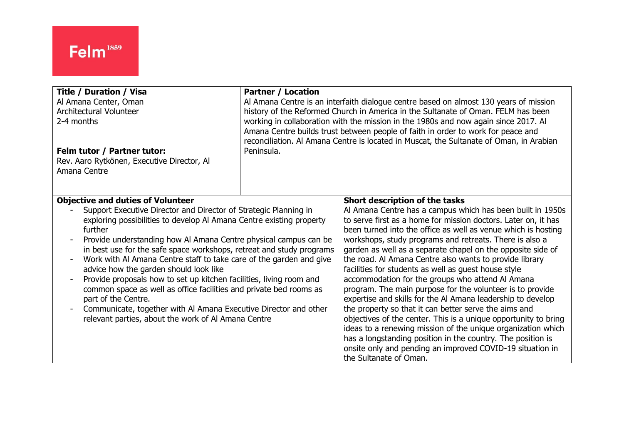| <b>Title / Duration / Visa</b>                                                                                                                                                                                                                                                                                                                                                                                                                                                                                                                                                                                                                                                                                                                              | <b>Partner / Location</b>                                                               |                                                                                                                                                                                                                                                                                                                                                                                                                                                                                                                                                                                                                                                                                                                                                                                                                                                                                                                                                                                                                |
|-------------------------------------------------------------------------------------------------------------------------------------------------------------------------------------------------------------------------------------------------------------------------------------------------------------------------------------------------------------------------------------------------------------------------------------------------------------------------------------------------------------------------------------------------------------------------------------------------------------------------------------------------------------------------------------------------------------------------------------------------------------|-----------------------------------------------------------------------------------------|----------------------------------------------------------------------------------------------------------------------------------------------------------------------------------------------------------------------------------------------------------------------------------------------------------------------------------------------------------------------------------------------------------------------------------------------------------------------------------------------------------------------------------------------------------------------------------------------------------------------------------------------------------------------------------------------------------------------------------------------------------------------------------------------------------------------------------------------------------------------------------------------------------------------------------------------------------------------------------------------------------------|
| Al Amana Center, Oman                                                                                                                                                                                                                                                                                                                                                                                                                                                                                                                                                                                                                                                                                                                                       | Al Amana Centre is an interfaith dialogue centre based on almost 130 years of mission   |                                                                                                                                                                                                                                                                                                                                                                                                                                                                                                                                                                                                                                                                                                                                                                                                                                                                                                                                                                                                                |
| Architectural Volunteer                                                                                                                                                                                                                                                                                                                                                                                                                                                                                                                                                                                                                                                                                                                                     | history of the Reformed Church in America in the Sultanate of Oman. FELM has been       |                                                                                                                                                                                                                                                                                                                                                                                                                                                                                                                                                                                                                                                                                                                                                                                                                                                                                                                                                                                                                |
| 2-4 months                                                                                                                                                                                                                                                                                                                                                                                                                                                                                                                                                                                                                                                                                                                                                  | working in collaboration with the mission in the 1980s and now again since 2017. Al     |                                                                                                                                                                                                                                                                                                                                                                                                                                                                                                                                                                                                                                                                                                                                                                                                                                                                                                                                                                                                                |
| Felm tutor / Partner tutor:                                                                                                                                                                                                                                                                                                                                                                                                                                                                                                                                                                                                                                                                                                                                 | Amana Centre builds trust between people of faith in order to work for peace and        |                                                                                                                                                                                                                                                                                                                                                                                                                                                                                                                                                                                                                                                                                                                                                                                                                                                                                                                                                                                                                |
| Rev. Aaro Rytkönen, Executive Director, Al                                                                                                                                                                                                                                                                                                                                                                                                                                                                                                                                                                                                                                                                                                                  | reconciliation. Al Amana Centre is located in Muscat, the Sultanate of Oman, in Arabian |                                                                                                                                                                                                                                                                                                                                                                                                                                                                                                                                                                                                                                                                                                                                                                                                                                                                                                                                                                                                                |
| Amana Centre                                                                                                                                                                                                                                                                                                                                                                                                                                                                                                                                                                                                                                                                                                                                                | Peninsula.                                                                              |                                                                                                                                                                                                                                                                                                                                                                                                                                                                                                                                                                                                                                                                                                                                                                                                                                                                                                                                                                                                                |
| <b>Objective and duties of Volunteer</b><br>Support Executive Director and Director of Strategic Planning in<br>exploring possibilities to develop AI Amana Centre existing property<br>further<br>Provide understanding how Al Amana Centre physical campus can be<br>in best use for the safe space workshops, retreat and study programs<br>Work with Al Amana Centre staff to take care of the garden and give<br>advice how the garden should look like<br>Provide proposals how to set up kitchen facilities, living room and<br>common space as well as office facilities and private bed rooms as<br>part of the Centre.<br>Communicate, together with Al Amana Executive Director and other<br>relevant parties, about the work of Al Amana Centre |                                                                                         | Short description of the tasks<br>Al Amana Centre has a campus which has been built in 1950s<br>to serve first as a home for mission doctors. Later on, it has<br>been turned into the office as well as venue which is hosting<br>workshops, study programs and retreats. There is also a<br>garden as well as a separate chapel on the opposite side of<br>the road. Al Amana Centre also wants to provide library<br>facilities for students as well as guest house style<br>accommodation for the groups who attend Al Amana<br>program. The main purpose for the volunteer is to provide<br>expertise and skills for the Al Amana leadership to develop<br>the property so that it can better serve the aims and<br>objectives of the center. This is a unique opportunity to bring<br>ideas to a renewing mission of the unique organization which<br>has a longstanding position in the country. The position is<br>onsite only and pending an improved COVID-19 situation in<br>the Sultanate of Oman. |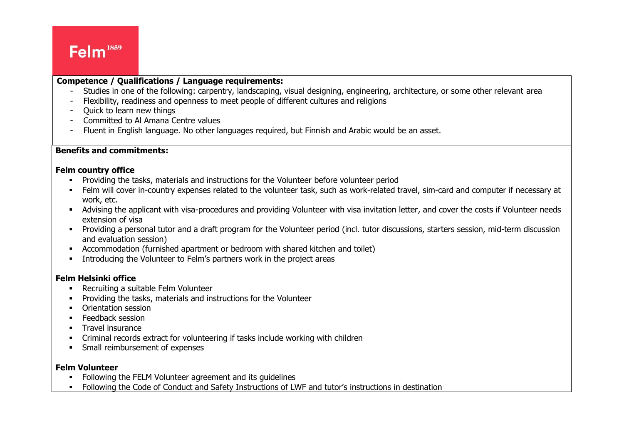## Felm<sup>1859</sup>

#### $\overline{\phantom{a}}$ **Competence / Qualifications / Language requirements:**

- Studies in one of the following: carpentry, landscaping, visual designing, engineering, architecture, or some other relevant area
- Flexibility, readiness and openness to meet people of different cultures and religions
- Quick to learn new things
- Committed to Al Amana Centre values
- Fluent in English language. No other languages required, but Finnish and Arabic would be an asset.

### **Benefits and commitments:**

#### **Felm country office**

- **•** Providing the tasks, materials and instructions for the Volunteer before volunteer period
- Felm will cover in-country expenses related to the volunteer task, such as work-related travel, sim-card and computer if necessary at work, etc.
- Advising the applicant with visa-procedures and providing Volunteer with visa invitation letter, and cover the costs if Volunteer needs extension of visa
- Providing a personal tutor and a draft program for the Volunteer period (incl. tutor discussions, starters session, mid-term discussion and evaluation session)
- Accommodation (furnished apartment or bedroom with shared kitchen and toilet)
- Introducing the Volunteer to Felm's partners work in the project areas

#### **Felm Helsinki office**

- Recruiting a suitable Felm Volunteer
- Providing the tasks, materials and instructions for the Volunteer
- **Orientation session**
- **Eeedback session**
- **■** Travel insurance
- Criminal records extract for volunteering if tasks include working with children
- **•** Small reimbursement of expenses

#### **Felm Volunteer**

- Following the FELM Volunteer agreement and its quidelines
- **•** Following the Code of Conduct and Safety Instructions of LWF and tutor's instructions in destination